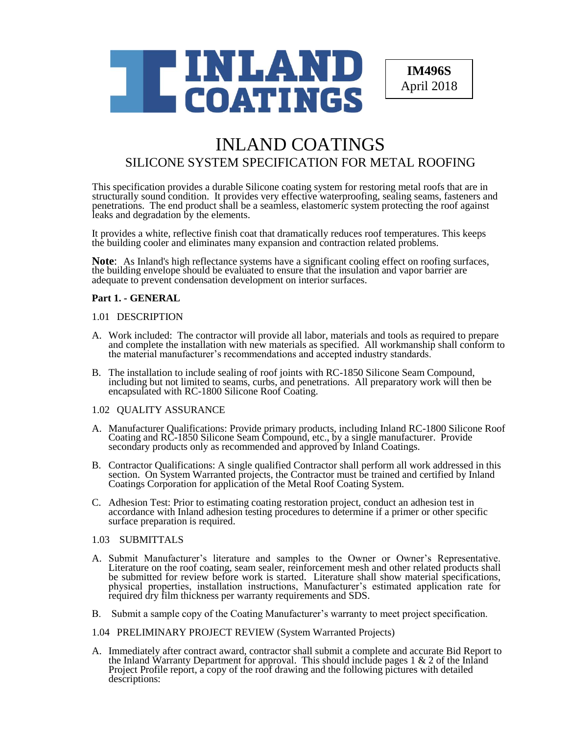

**IM496S** April 2018

# INLAND COATINGS SILICONE SYSTEM SPECIFICATION FOR METAL ROOFING

This specification provides a durable Silicone coating system for restoring metal roofs that are in structurally sound condition. It provides very effective waterproofing, sealing seams, fasteners and penetrations. The end product shall be a seamless, elastomeric system protecting the roof against leaks and degradation by the elements.

It provides a white, reflective finish coat that dramatically reduces roof temperatures. This keeps the building cooler and eliminates many expansion and contraction related problems.

**Note**: As Inland's high reflectance systems have a significant cooling effect on roofing surfaces, the building envelope should be evaluated to ensure that the insulation and vapor barrier are adequate to prevent condensation development on interior surfaces.

## **Part 1. - GENERAL**

#### 1.01 DESCRIPTION

- A. Work included: The contractor will provide all labor, materials and tools as required to prepare and complete the installation with new materials as specified. All workmanship shall conform to the material manufacturer's recommendations and accepted industry standards.
- B. The installation to include sealing of roof joints with RC-1850 Silicone Seam Compound, including but not limited to seams, curbs, and penetrations. All preparatory work will then be encapsulated with RC-1800 Silicone Roof Coating.

## 1.02 QUALITY ASSURANCE

- A. Manufacturer Qualifications: Provide primary products, including Inland RC-1800 Silicone Roof Coating and RC-1850 Silicone Seam Compound, etc., by a single manufacturer. Provide secondary products only as recommended and approved by Inland Coatings.
- B. Contractor Qualifications: A single qualified Contractor shall perform all work addressed in this section. On System Warranted projects, the Contractor must be trained and certified by Inland Coatings Corporation for application of the Metal Roof Coating System.
- C. Adhesion Test: Prior to estimating coating restoration project, conduct an adhesion test in accordance with Inland adhesion testing procedures to determine if a primer or other specific surface preparation is required.

## 1.03 SUBMITTALS

- A. Submit Manufacturer's literature and samples to the Owner or Owner's Representative. Literature on the roof coating, seam sealer, reinforcement mesh and other related products shall be submitted for review before work is started. Literature shall show material specifications, physical properties, installation instructions, Manufacturer's estimated application rate for required dry film thickness per warranty requirements and SDS.
- B. Submit a sample copy of the Coating Manufacturer's warranty to meet project specification.
- 1.04 PRELIMINARY PROJECT REVIEW (System Warranted Projects)
- A. Immediately after contract award, contractor shall submit a complete and accurate Bid Report to the Inland Warranty Department for approval. This should include pages 1  $\&$  2 of the Inland Project Profile report, a copy of the roof drawing and the following pictures with detailed descriptions: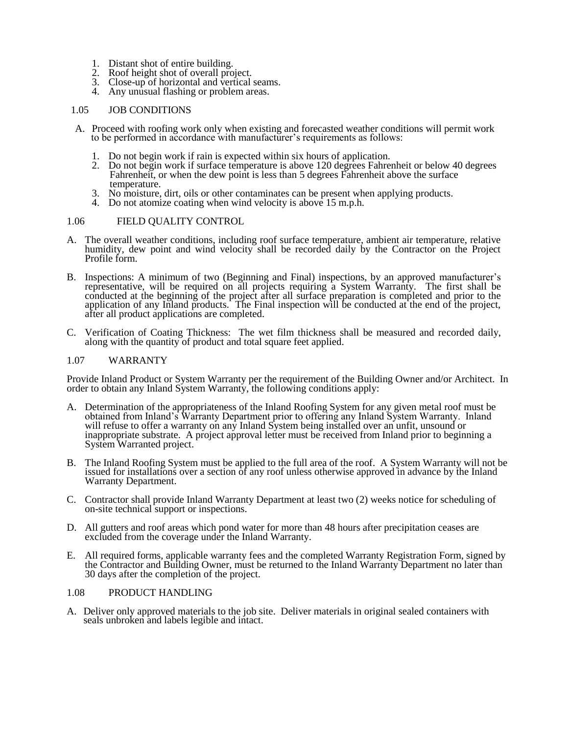- 1. Distant shot of entire building.
- 2. Roof height shot of overall project.
- 3. Close-up of horizontal and vertical seams.
- 4. Any unusual flashing or problem areas.

## 1.05 JOB CONDITIONS

- A. Proceed with roofing work only when existing and forecasted weather conditions will permit work to be performed in accordance with manufacturer's requirements as follows:
	- 1. Do not begin work if rain is expected within six hours of application.
	- 2. Do not begin work if surface temperature is above 120 degrees Fahrenheit or below 40 degrees Fahrenheit, or when the dew point is less than 5 degrees Fahrenheit above the surface temperature.
	- 3. No moisture, dirt, oils or other contaminates can be present when applying products.
	- 4. Do not atomize coating when wind velocity is above 15 m.p.h.

## 1.06 FIELD QUALITY CONTROL

- A. The overall weather conditions, including roof surface temperature, ambient air temperature, relative humidity, dew point and wind velocity shall be recorded daily by the Contractor on the Project Profile form.
- B. Inspections: A minimum of two (Beginning and Final) inspections, by an approved manufacturer's representative, will be required on all projects requiring a System Warranty. The first shall be conducted at the beginning of the project after all surface preparation is completed and prior to the application of any Inland products. The Final inspection will be conducted at the end of the project, after all product applications are completed.
- C. Verification of Coating Thickness: The wet film thickness shall be measured and recorded daily, along with the quantity of product and total square feet applied.

## 1.07 WARRANTY

Provide Inland Product or System Warranty per the requirement of the Building Owner and/or Architect. In order to obtain any Inland System Warranty, the following conditions apply:

- A. Determination of the appropriateness of the Inland Roofing System for any given metal roof must be obtained from Inland's Warranty Department prior to offering any Inland System Warranty. Inland will refuse to offer a warranty on any Inland System being installed over an unfit, unsound or inappropriate substrate. A project approval letter must be received from Inland prior to beginning a System Warranted project.
- B. The Inland Roofing System must be applied to the full area of the roof. A System Warranty will not be issued for installations over a section of any roof unless otherwise approved in advance by the Inland Warranty Department.
- C. Contractor shall provide Inland Warranty Department at least two (2) weeks notice for scheduling of on-site technical support or inspections.
- D. All gutters and roof areas which pond water for more than 48 hours after precipitation ceases are excluded from the coverage under the Inland Warranty.
- E. All required forms, applicable warranty fees and the completed Warranty Registration Form, signed by the Contractor and Building Owner, must be returned to the Inland Warranty Department no later than 30 days after the completion of the project.

## 1.08 PRODUCT HANDLING

A. Deliver only approved materials to the job site. Deliver materials in original sealed containers with seals unbroken and labels legible and intact.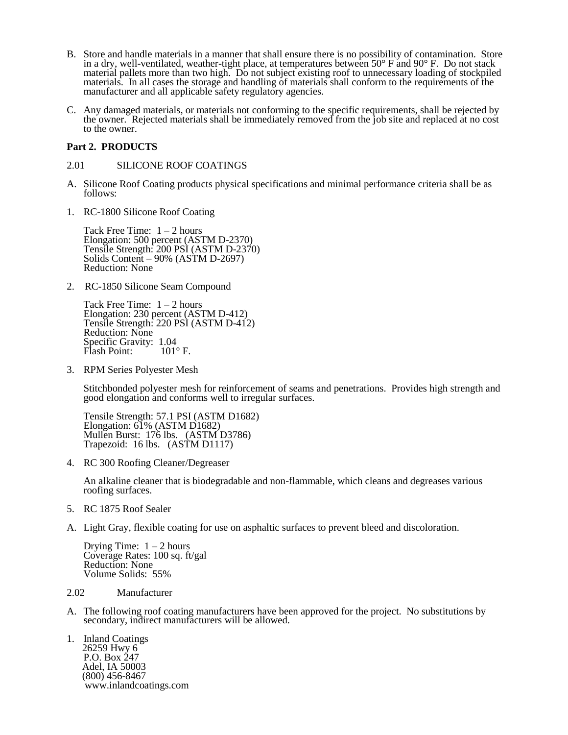- B. Store and handle materials in a manner that shall ensure there is no possibility of contamination. Store in a dry, well-ventilated, weather-tight place, at temperatures between  $50^{\circ}$  F and  $90^{\circ}$  F. Do not stack material pallets more than two high. Do not subject existing roof to unnecessary loading of stockpiled materials. In all cases the storage and handling of materials shall conform to the requirements of the manufacturer and all applicable safety regulatory agencies.
- C. Any damaged materials, or materials not conforming to the specific requirements, shall be rejected by the owner. Rejected materials shall be immediately removed from the job site and replaced at no cost to the owner.

## **Part 2. PRODUCTS**

## 2.01 SILICONE ROOF COATINGS

- A. Silicone Roof Coating products physical specifications and minimal performance criteria shall be as follows:
- 1. RC-1800 Silicone Roof Coating

Tack Free Time:  $1 - 2$  hours Elongation: 500 percent (ASTM D-2370) Tensile Strength: 200 PSI (ASTM D-2370) Solids Content – 90% (ASTM D-2697) Reduction: None

2. RC-1850 Silicone Seam Compound

Tack Free Time:  $1 - 2$  hours Elongation: 230 percent (ASTM D-412) Tensile Strength: 220 PSI (ASTM D-412) Reduction: None Specific Gravity: 1.04<br>Flash Point: 101°F. Flash Point:

3. RPM Series Polyester Mesh

Stitchbonded polyester mesh for reinforcement of seams and penetrations. Provides high strength and good elongation and conforms well to irregular surfaces.

Tensile Strength: 57.1 PSI (ASTM D1682) Elongation: 61% (ASTM D1682) Mullen Burst: 176 lbs. (ASTM D3786) Trapezoid: 16 lbs. (ASTM D1117)

4. RC 300 Roofing Cleaner/Degreaser

An alkaline cleaner that is biodegradable and non-flammable, which cleans and degreases various roofing surfaces.

- 5. RC 1875 Roof Sealer
- A. Light Gray, flexible coating for use on asphaltic surfaces to prevent bleed and discoloration.

Drying Time:  $1 - 2$  hours Coverage Rates: 100 sq. ft/gal Reduction: None Volume Solids: 55%

## 2.02 Manufacturer

A. The following roof coating manufacturers have been approved for the project. No substitutions by secondary, indirect manufacturers will be allowed.

1. Inland Coatings 26259 Hwy 6 P.O. Box 247 Adel, IA 50003 (800) 456-8467 www.inlandcoatings.com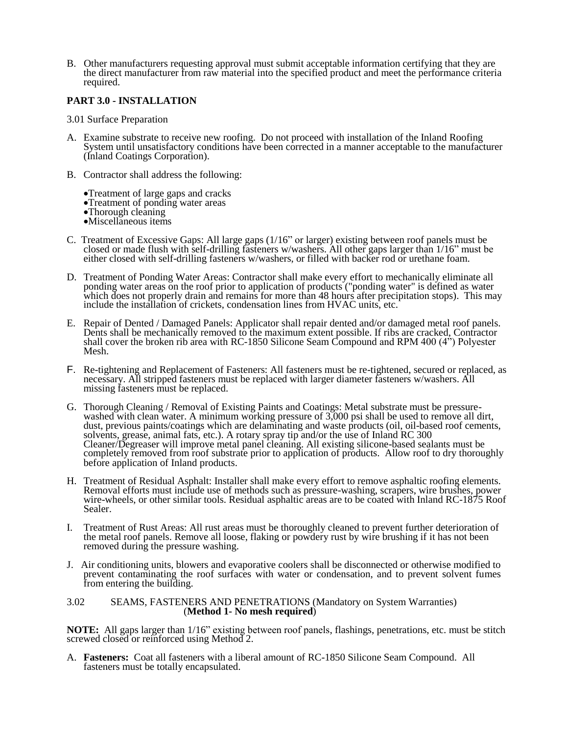B. Other manufacturers requesting approval must submit acceptable information certifying that they are the direct manufacturer from raw material into the specified product and meet the performance criteria required.

## **PART 3.0 - INSTALLATION**

- 3.01 Surface Preparation
- A. Examine substrate to receive new roofing. Do not proceed with installation of the Inland Roofing System until unsatisfactory conditions have been corrected in a manner acceptable to the manufacturer (Inland Coatings Corporation).
- B. Contractor shall address the following:
	- Treatment of large gaps and cracks
	- Treatment of ponding water areas
	- •Thorough cleaning
	- Miscellaneous items
- C. Treatment of Excessive Gaps: All large gaps (1/16" or larger) existing between roof panels must be closed or made flush with self-drilling fasteners w/washers. All other gaps larger than 1/16" must be either closed with self-drilling fasteners w/washers, or filled with backer rod or urethane foam.
- D. Treatment of Ponding Water Areas: Contractor shall make every effort to mechanically eliminate all ponding water areas on the roof prior to application of products ("ponding water" is defined as water which does not properly drain and remains for more than 48 hours after precipitation stops). This may include the installation of crickets, condensation lines from HVAC units, etc.
- E. Repair of Dented / Damaged Panels: Applicator shall repair dented and/or damaged metal roof panels. Dents shall be mechanically removed to the maximum extent possible. If ribs are cracked, Contractor shall cover the broken rib area with RC-1850 Silicone Seam Compound and RPM 400 (4<sup>35</sup>) Polyester Mesh.
- F. Re-tightening and Replacement of Fasteners: All fasteners must be re-tightened, secured or replaced, as necessary. All stripped fasteners must be replaced with larger diameter fasteners w/washers. All missing fasteners must be replaced.
- G. Thorough Cleaning / Removal of Existing Paints and Coatings: Metal substrate must be pressurewashed with clean water. A minimum working pressure of 3,000 psi shall be used to remove all dirt, dust, previous paints/coatings which are delaminating and waste products (oil, oil-based roof cements, solvents, grease, animal fats, etc.). A rotary spray tip and/or the use of Inland RC 300 Cleaner/Degreaser will improve metal panel cleaning. All existing silicone-based sealants must be completely removed from roof substrate prior to application of products. Allow roof to dry thoroughly before application of Inland products.
- H. Treatment of Residual Asphalt: Installer shall make every effort to remove asphaltic roofing elements. Removal efforts must include use of methods such as pressure-washing, scrapers, wire brushes, power wire-wheels, or other similar tools. Residual asphaltic areas are to be coated with Inland RC-1875 Roof Sealer.
- I. Treatment of Rust Areas: All rust areas must be thoroughly cleaned to prevent further deterioration of the metal roof panels. Remove all loose, flaking or powdery rust by wire brushing if it has not been removed during the pressure washing.
- J. Air conditioning units, blowers and evaporative coolers shall be disconnected or otherwise modified to prevent contaminating the roof surfaces with water or condensation, and to prevent solvent fumes from entering the building.

#### 3.02 SEAMS, FASTENERS AND PENETRATIONS (Mandatory on System Warranties) (**Method 1- No mesh required**)

**NOTE:** All gaps larger than 1/16" existing between roof panels, flashings, penetrations, etc. must be stitch screwed closed or reinforced using Method 2.

A. **Fasteners:** Coat all fasteners with a liberal amount of RC-1850 Silicone Seam Compound. All fasteners must be totally encapsulated.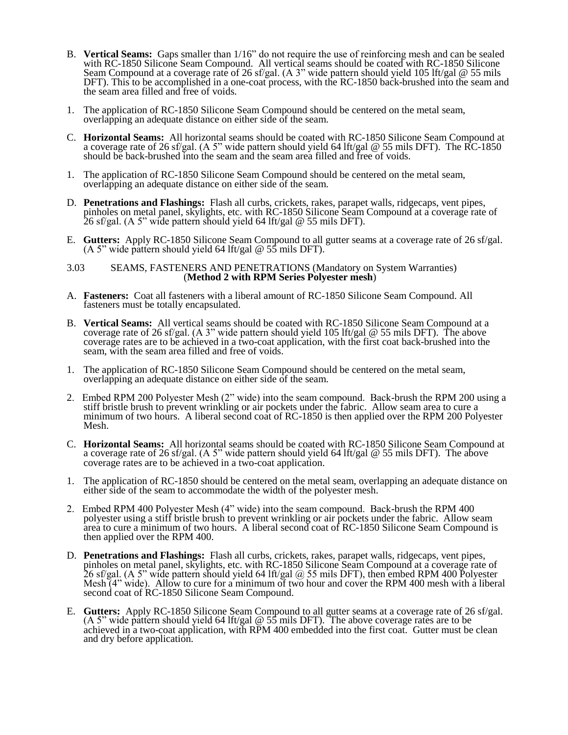- B. **Vertical Seams:** Gaps smaller than 1/16" do not require the use of reinforcing mesh and can be sealed with RC-1850 Silicone Seam Compound. All vertical seams should be coated with RC-1850 Silicone Seam Compound at a coverage rate of 26 sf/gal. (A 3" wide pattern should yield 105 lft/gal @ 55 mils DFT). This to be accomplished in a one-coat process, with the RC-1850 back-brushed into the seam and the seam area filled and free of voids.
- 1. The application of RC-1850 Silicone Seam Compound should be centered on the metal seam, overlapping an adequate distance on either side of the seam.
- C. **Horizontal Seams:** All horizontal seams should be coated with RC-1850 Silicone Seam Compound at a coverage rate of 26 sf/gal. (A 5" wide pattern should yield 64 lft/gal @ 55 mils DFT). The RC-1850 should be back-brushed into the seam and the seam area filled and free of voids.
- 1. The application of RC-1850 Silicone Seam Compound should be centered on the metal seam, overlapping an adequate distance on either side of the seam.
- D. **Penetrations and Flashings:** Flash all curbs, crickets, rakes, parapet walls, ridgecaps, vent pipes, pinholes on metal panel, skylights, etc. with RC-1850 Silicone Seam Compound at a coverage rate of 26 sf/gal. (A 5" wide pattern should yield 64 lft/gal @ 55 mils DFT).
- E. **Gutters:** Apply RC-1850 Silicone Seam Compound to all gutter seams at a coverage rate of 26 sf/gal. (A 5" wide pattern should yield 64 lft/gal  $@$  55 mils DFT).

#### 3.03 SEAMS, FASTENERS AND PENETRATIONS (Mandatory on System Warranties) (**Method 2 with RPM Series Polyester mesh**)

- A. **Fasteners:** Coat all fasteners with a liberal amount of RC-1850 Silicone Seam Compound. All fasteners must be totally encapsulated.
- B. **Vertical Seams:** All vertical seams should be coated with RC-1850 Silicone Seam Compound at a coverage rate of 26 sf/gal. (A 3" wide pattern should yield 105 lft/gal @ 55 mils DFT). The above coverage rates are to be achieved in a two-coat application, with the first coat back-brushed into the seam, with the seam area filled and free of voids.
- 1. The application of RC-1850 Silicone Seam Compound should be centered on the metal seam, overlapping an adequate distance on either side of the seam.
- 2. Embed RPM 200 Polyester Mesh (2" wide) into the seam compound. Back-brush the RPM 200 using a stiff bristle brush to prevent wrinkling or air pockets under the fabric. Allow seam area to cure a minimum of two hours. A liberal second coat of RC-1850 is then applied over the RPM 200 Polyester Mesh.
- C. **Horizontal Seams:** All horizontal seams should be coated with RC-1850 Silicone Seam Compound at a coverage rate of 26 sf/gal. (A 5" wide pattern should yield 64 lft/gal @ 55 mils DFT). The above coverage rates are to be achieved in a two-coat application.
- 1. The application of RC-1850 should be centered on the metal seam, overlapping an adequate distance on either side of the seam to accommodate the width of the polyester mesh.
- 2. Embed RPM 400 Polyester Mesh (4" wide) into the seam compound. Back-brush the RPM 400 polyester using a stiff bristle brush to prevent wrinkling or air pockets under the fabric. Allow seam area to cure a minimum of two hours. A liberal second coat of RC-1850 Silicone Seam Compound is then applied over the RPM 400.
- D. **Penetrations and Flashings:** Flash all curbs, crickets, rakes, parapet walls, ridgecaps, vent pipes, pinholes on metal panel, skylights, etc. with RC-1850 Silicone Seam Compound at a coverage rate of 26 sf/gal. (A 5" wide pattern should yield 64 lft/gal @ 55 mils DFT), then embed RPM 400 Polyester Mesh (4" wide). Allow to cure for a minimum of two hour and cover the RPM 400 mesh with a liberal second coat of RC-1850 Silicone Seam Compound.
- E. **Gutters:** Apply RC-1850 Silicone Seam Compound to all gutter seams at a coverage rate of 26 sf/gal. (A 5" wide pattern should yield 64 lft/gal  $\omega$  55 mils DFT). The above coverage rates are to be achieved in a two-coat application, with RPM 400 embedded into the first coat. Gutter must be clean and dry before application.